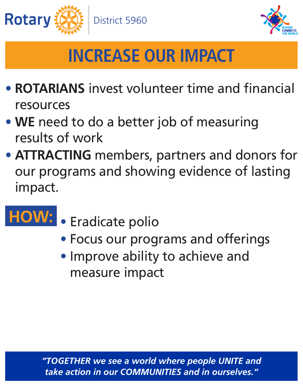## *take action in our COMMUNITIES and in ourselves."*





- **ROTARIANS** invest volunteer time and financial resources
- **WE** need to do a better job of measuring results of work
- **ATTRACTING** members, partners and donors for our programs and showing evidence of lasting

impact.

- Focus our programs and offerings
- Improve ability to achieve and measure impact

## • Eradicate polio **HOW:**

# **INCREASE OUR IMPACT**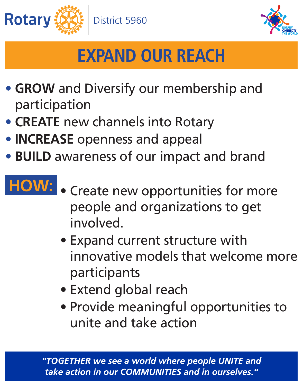## *take action in our COMMUNITIES and in ourselves."*





# **EXPAND OUR REACH**

- **GROW** and Diversify our membership and participation
- **CREATE** new channels into Rotary
- **INCREASE** openness and appeal
- **BUILD** awareness of our impact and brand

## • Create new opportunities for more people and organizations to get involved. **HOW:**

- Expand current structure with innovative models that welcome more participants
- Extend global reach
- Provide meaningful opportunities to unite and take action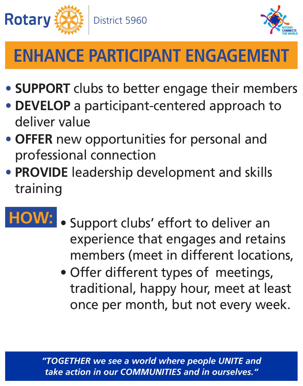## *take action in our COMMUNITIES and in ourselves."*





# **ENHANCE PARTICIPANT ENGAGEMENT**

- **SUPPORT** clubs to better engage their members
- **DEVELOP** a participant-centered approach to deliver value
- **OFFER** new opportunities for personal and professional connection
- 

## • **PROVIDE** leadership development and skills training

- Support clubs' effort to deliver an experience that engages and retains members (meet in different locations, **HOW:**
	- Offer different types of meetings, traditional, happy hour, meet at least once per month, but not every week.